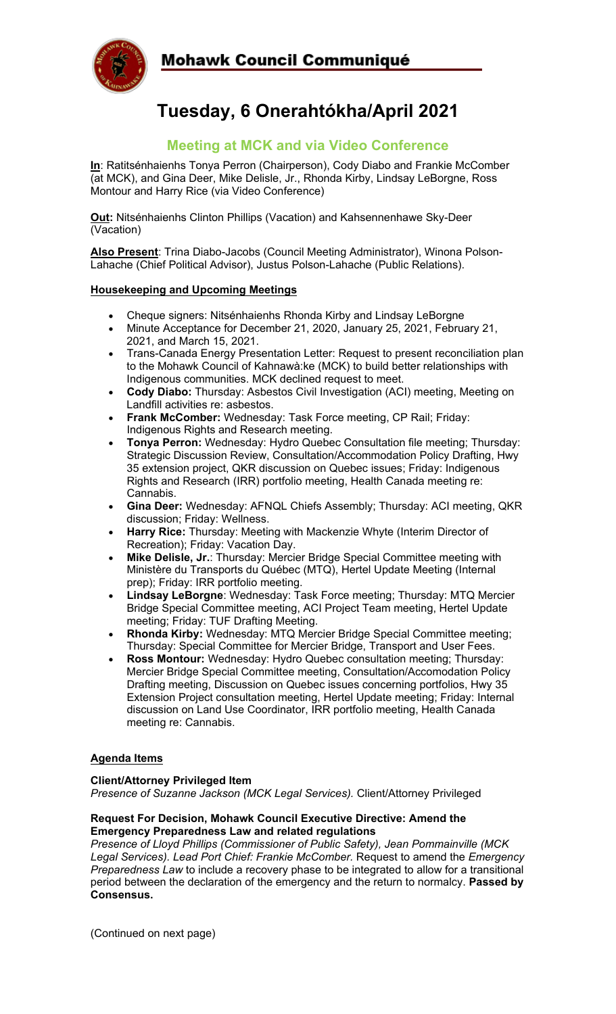

# **Tuesday, 6 Onerahtókha/April 2021**

# **Meeting at MCK and via Video Conference**

**In**: Ratitsénhaienhs Tonya Perron (Chairperson), Cody Diabo and Frankie McComber (at MCK), and Gina Deer, Mike Delisle, Jr., Rhonda Kirby, Lindsay LeBorgne, Ross Montour and Harry Rice (via Video Conference)

**Out:** Nitsénhaienhs Clinton Phillips (Vacation) and Kahsennenhawe Sky-Deer (Vacation)

**Also Present**: Trina Diabo-Jacobs (Council Meeting Administrator), Winona Polson-Lahache (Chief Political Advisor), Justus Polson-Lahache (Public Relations).

#### **Housekeeping and Upcoming Meetings**

- Cheque signers: Nitsénhaienhs Rhonda Kirby and Lindsay LeBorgne
- Minute Acceptance for December 21, 2020, January 25, 2021, February 21, 2021, and March 15, 2021.
- Trans-Canada Energy Presentation Letter: Request to present reconciliation plan to the Mohawk Council of Kahnawà:ke (MCK) to build better relationships with Indigenous communities. MCK declined request to meet.
- **Cody Diabo:** Thursday: Asbestos Civil Investigation (ACI) meeting, Meeting on Landfill activities re: asbestos.
- **Frank McComber:** Wednesday: Task Force meeting, CP Rail; Friday: Indigenous Rights and Research meeting.
- **Tonya Perron:** Wednesday: Hydro Quebec Consultation file meeting; Thursday: Strategic Discussion Review, Consultation/Accommodation Policy Drafting, Hwy 35 extension project, QKR discussion on Quebec issues; Friday: Indigenous Rights and Research (IRR) portfolio meeting, Health Canada meeting re: Cannabis.
- **Gina Deer:** Wednesday: AFNQL Chiefs Assembly; Thursday: ACI meeting, QKR discussion; Friday: Wellness.
- **Harry Rice:** Thursday: Meeting with Mackenzie Whyte (Interim Director of Recreation); Friday: Vacation Day.
- **Mike Delisle, Jr.**: Thursday: Mercier Bridge Special Committee meeting with Ministère du Transports du Québec (MTQ), Hertel Update Meeting (Internal prep); Friday: IRR portfolio meeting.
- **Lindsay LeBorgne**: Wednesday: Task Force meeting; Thursday: MTQ Mercier Bridge Special Committee meeting, ACI Project Team meeting, Hertel Update meeting; Friday: TUF Drafting Meeting.
- **Rhonda Kirby:** Wednesday: MTQ Mercier Bridge Special Committee meeting; Thursday: Special Committee for Mercier Bridge, Transport and User Fees.
- **Ross Montour:** Wednesday: Hydro Quebec consultation meeting; Thursday: Mercier Bridge Special Committee meeting, Consultation/Accomodation Policy Drafting meeting, Discussion on Quebec issues concerning portfolios, Hwy 35 Extension Project consultation meeting, Hertel Update meeting; Friday: Internal discussion on Land Use Coordinator, IRR portfolio meeting, Health Canada meeting re: Cannabis.

## **Agenda Items**

#### **Client/Attorney Privileged Item**

*Presence of Suzanne Jackson (MCK Legal Services).* Client/Attorney Privileged

#### **Request For Decision, Mohawk Council Executive Directive: Amend the Emergency Preparedness Law and related regulations**

*Presence of Lloyd Phillips (Commissioner of Public Safety), Jean Pommainville (MCK Legal Services). Lead Port Chief: Frankie McComber.* Request to amend the *Emergency Preparedness Law* to include a recovery phase to be integrated to allow for a transitional period between the declaration of the emergency and the return to normalcy. **Passed by Consensus.**

(Continued on next page)